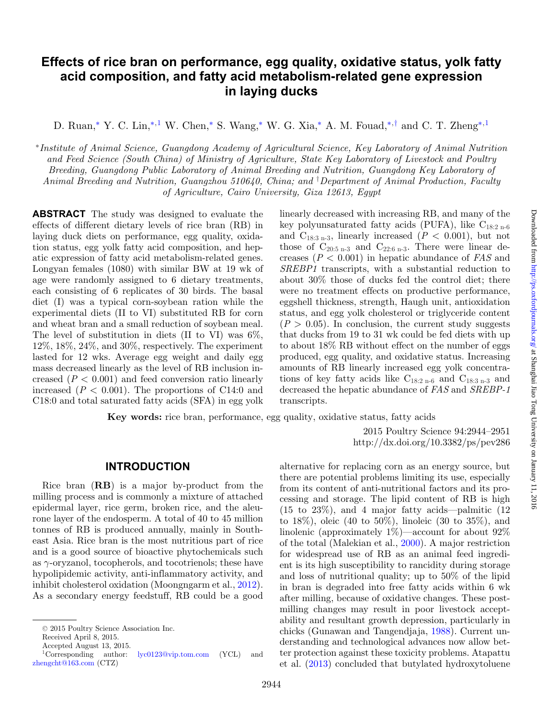# **Effects of rice bran on performance, egg quality, oxidative status, yolk fatty acid composition, and fatty acid metabolism-related gene expression in laying ducks**

D. Ruan,<sup>[∗](#page-0-0)</sup> Y. C. Lin,<sup>∗[,1](#page-0-1)</sup> W. Chen,<sup>∗</sup> S. Wang,<sup>∗</sup> W. G. Xia,<sup>∗</sup> A. M. Fouad,<sup>∗,[†](#page-0-2)</sup> and C. T. Zheng<sup>∗,1</sup>

<span id="page-0-0"></span><sup>∗</sup>*Institute of Animal Science, Guangdong Academy of Agricultural Science, Key Laboratory of Animal Nutrition and Feed Science (South China) of Ministry of Agriculture, State Key Laboratory of Livestock and Poultry Breeding, Guangdong Public Laboratory of Animal Breeding and Nutrition, Guangdong Key Laboratory of Animal Breeding and Nutrition, Guangzhou 510640, China; and* † *Department of Animal Production, Faculty of Agriculture, Cairo University, Giza 12613, Egypt*

**ABSTRACT** The study was designed to evaluate the effects of different dietary levels of rice bran (RB) in laying duck diets on performance, egg quality, oxidation status, egg yolk fatty acid composition, and hepatic expression of fatty acid metabolism-related genes. Longyan females (1080) with similar BW at 19 wk of age were randomly assigned to 6 dietary treatments, each consisting of 6 replicates of 30 birds. The basal diet (I) was a typical corn-soybean ration while the experimental diets (II to VI) substituted RB for corn and wheat bran and a small reduction of soybean meal. The level of substitution in diets (II to VI) was  $6\%$ ,  $12\%, 18\%, 24\%, \text{ and } 30\%, \text{ respectively.}$  The experiment lasted for 12 wks. Average egg weight and daily egg mass decreased linearly as the level of RB inclusion increased  $(P < 0.001)$  and feed conversion ratio linearly increased  $(P < 0.001)$ . The proportions of C14:0 and C18:0 and total saturated fatty acids (SFA) in egg yolk <span id="page-0-2"></span>linearly decreased with increasing RB, and many of the key polyunsaturated fatty acids (PUFA), like  $C_{18:2 n-6}$ and  $C_{18:3 n-3}$ , linearly increased ( $P < 0.001$ ), but not those of  $C_{20:5 n-3}$  and  $C_{22:6 n-3}$ . There were linear decreases (*P* < 0.001) in hepatic abundance of *FAS* and *SREBP1* transcripts, with a substantial reduction to about 30% those of ducks fed the control diet; there were no treatment effects on productive performance, eggshell thickness, strength, Haugh unit, antioxidation status, and egg yolk cholesterol or triglyceride content  $(P > 0.05)$ . In conclusion, the current study suggests that ducks from 19 to 31 wk could be fed diets with up to about 18% RB without effect on the number of eggs produced, egg quality, and oxidative status. Increasing amounts of RB linearly increased egg yolk concentrations of key fatty acids like  $C_{18:2 n-6}$  and  $C_{18:3 n-3}$  and decreased the hepatic abundance of *FAS* and *SREBP-1* transcripts.

**Key words:** rice bran, performance, egg quality, oxidative status, fatty acids

2015 Poultry Science 94:2944–2951 http://dx.doi.org/10.3382/ps/pev286

### **INTRODUCTION**

Rice bran (**RB**) is a major by-product from the milling process and is commonly a mixture of attached epidermal layer, rice germ, broken rice, and the aleurone layer of the endosperm. A total of 40 to 45 million tonnes of RB is produced annually, mainly in Southeast Asia. Rice bran is the most nutritious part of rice and is a good source of bioactive phytochemicals such as  $\gamma$ -oryzanol, tocopherols, and tocotrienols; these have hypolipidemic activity, anti-inflammatory activity, and inhibit cholesterol oxidation (Moongngarm et al., [2012\)](#page-7-0). As a secondary energy feedstuff, RB could be a good

alternative for replacing corn as an energy source, but there are potential problems limiting its use, especially from its content of anti-nutritional factors and its processing and storage. The lipid content of RB is high  $(15 \text{ to } 23\%)$ , and 4 major fatty acids—palmitic  $(12 \text{)}$ to  $18\%$ ), oleic (40 to  $50\%$ ), linoleic (30 to  $35\%$ ), and linolenic (approximately  $1\%$ )—account for about  $92\%$ of the total (Malekian et al., [2000\)](#page-7-1). A major restriction for widespread use of RB as an animal feed ingredient is its high susceptibility to rancidity during storage and loss of nutritional quality; up to 50% of the lipid in bran is degraded into free fatty acids within 6 wk after milling, because of oxidative changes. These postmilling changes may result in poor livestock acceptability and resultant growth depression, particularly in chicks (Gunawan and Tangendjaja, [1988\)](#page-7-2). Current understanding and technologica[l](#page-1-0) advances now allow better protection against these toxicity problems. Atapattu et al. [\(2013\)](#page-6-0) concluded that butylated hydroxytoluene

<sup>© 2015</sup> Poultry Science Association Inc.

Received April 8, 2015.

<span id="page-0-1"></span>Accepted August 13, 2015.

<sup>&</sup>lt;sup>1</sup>Corresponding author: [lyc0123@vip.tom.com](mailto:lyc0123@vip.tom.com) (YCL) and [zhengcht@163.com](mailto:zhengcht@163.com) (CTZ)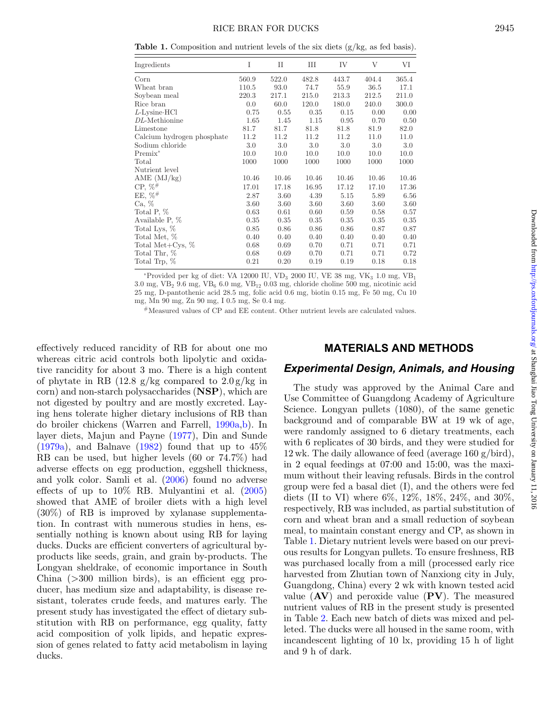<span id="page-1-0"></span>**Table 1.** Composition and nutrient levels of the six diets  $(g/kg, as fed basis)$ .

| Ingredients                | Ι     | $_{\rm II}$ | Ш     | IV    | V     | VI    |
|----------------------------|-------|-------------|-------|-------|-------|-------|
| Corn                       | 560.9 | 522.0       | 482.8 | 443.7 | 404.4 | 365.4 |
| Wheat bran                 | 110.5 | 93.0        | 74.7  | 55.9  | 36.5  | 17.1  |
| Soybean meal               | 220.3 | 217.1       | 215.0 | 213.3 | 212.5 | 211.0 |
| Rice bran                  | 0.0   | 60.0        | 120.0 | 180.0 | 240.0 | 300.0 |
| $L$ -Lysine HCl            | 0.75  | 0.55        | 0.35  | 0.15  | 0.00  | 0.00  |
| DL-Methionine              | 1.65  | 1.45        | 1.15  | 0.95  | 0.70  | 0.50  |
| Limestone                  | 81.7  | 81.7        | 81.8  | 81.8  | 81.9  | 82.0  |
| Calcium hydrogen phosphate | 11.2  | 11.2        | 11.2  | 11.2  | 11.0  | 11.0  |
| Sodium chloride            | 3.0   | 3.0         | 3.0   | 3.0   | 3.0   | 3.0   |
| $Premix^*$                 | 10.0  | 10.0        | 10.0  | 10.0  | 10.0  | 10.0  |
| Total                      | 1000  | 1000        | 1000  | 1000  | 1000  | 1000  |
| Nutrient level             |       |             |       |       |       |       |
| AME $(MJ/kg)$              | 10.46 | 10.46       | 10.46 | 10.46 | 10.46 | 10.46 |
| $CP, \%^{#}$               | 17.01 | 17.18       | 16.95 | 17.12 | 17.10 | 17.36 |
| $EE, \%^{#}$               | 2.87  | 3.60        | 4.39  | 5.15  | 5.89  | 6.56  |
| Ca, %                      | 3.60  | 3.60        | 3.60  | 3.60  | 3.60  | 3.60  |
| Total P, %                 | 0.63  | 0.61        | 0.60  | 0.59  | 0.58  | 0.57  |
| Available P, %             | 0.35  | 0.35        | 0.35  | 0.35  | 0.35  | 0.35  |
| Total Lys, %               | 0.85  | 0.86        | 0.86  | 0.86  | 0.87  | 0.87  |
| Total Met, %               | 0.40  | 0.40        | 0.40  | 0.40  | 0.40  | 0.40  |
| Total Met+Cys, $%$         | 0.68  | 0.69        | 0.70  | 0.71  | 0.71  | 0.71  |
| Total Thr, %               | 0.68  | 0.69        | 0.70  | 0.71  | 0.71  | 0.72  |
| Total Trp, %               | 0.21  | 0.20        | 0.19  | 0.19  | 0.18  | 0.18  |

\*Provided per kg of diet: VA 12000 IU, VD<sub>3</sub> 2000 IU, VE 38 mg, VK<sub>3</sub> 1.0 mg, VB<sub>1</sub>  $3.0$  mg, VB<sub>2</sub>  $9.6$  mg, VB<sub>6</sub>  $6.0$  mg, VB<sub>12</sub>  $0.03$  mg, chloride choline  $500$  mg, nicotinic acid 25 mg, D-pantothenic acid 28.5 mg, folic acid 0.6 mg, biotin 0.15 mg, Fe 50 mg, Cu 10 mg, Mn 90 mg, Zn 90 mg, I 0.5 mg, Se 0.4 mg.

#Measured values of CP and EE content. Other nutrient levels are calculated values.

effectively reduced rancidity of RB for about one mo whereas citric acid controls both lipolytic and oxidative rancidity for about 3 mo. There is a high content of phytate in RB  $(12.8 \text{ g/kg} \text{ compared to } 2.0 \text{ g/kg} \text{ in}$ corn) and non-starch polysaccharides (**NSP**), which are not digested by poultry and are mostly excreted. Laying hens tolerate higher dietary inclusions of RB than do broiler chickens (Warren and Farrell, [1990a,](#page-7-3)[b\)](#page-7-4). In layer diets, Majun and Payne [\(1977\)](#page-7-5), Din and Sunde  $(1979a)$ , and Balnave  $(1982)$  found that up to  $45\%$ RB can be used, but higher levels (60 or 74.7%) had adverse effects on egg production, eggshell thickness, and yolk color. Samli et al. [\(2006\)](#page-7-6) found no adverse effects of up to 10% RB. Mulyantini et al. [\(2005\)](#page-7-7) showed that AME of broiler diets with a high level (30%) of RB is improved by xylanase supplementation. In contrast with numerous studies in hens, essentially nothing is known about using RB for laying ducks. Ducks are efficient converters of agricultural byproducts like seeds, grain, and grain by-products. The Longyan sheldrake, of economic importance in South China  $(>300$  million birds), is an efficient egg producer, has medium size and adaptability, is disease resistant, tolerates crude feeds, and matures early. The present study has investigated the effect of dietary substitution with RB on performance, egg quality, fatty acid composition of yolk lipids, and hepatic expression of genes related to fatty acid metabolism in laying ducks.

### **MATERIALS AND METHODS**

### *Experimental Design, Animals, and Housing*

The study was approved by the Animal Care and Use Committee of Guangdong Academy of Agriculture Science. Longyan pullets (1080), of the same genetic background and of comparable BW at 19 wk of age, were randomly assigned to 6 dietary treatments, each with 6 replicates of 30 birds, and they were studied for 12 wk. The daily allowance of feed (average 160 g/bird), in 2 equal feedings at 07:00 and 15:00, was the maximum without their leaving refusals. Birds in the control group were fed a basal diet (I), and the others were fed diets (II to VI) where 6%, 12%, 18%, 24%, and 30%, respectively, RB was included, as partial substitution of corn and wheat bran and a small reduction of soybean meal, to maintain constant energy and CP, as shown in Table [1.](#page-1-0) Dietary nutrient levels were based on our previous results for Longyan pullets. To ensure freshness, RB was purchased locally from a mill (processed early rice harvested from Zhutian town of Nanxiong city in July, Guangdong, China) every 2 wk with known tested acid value (**AV**) and peroxide value (**PV**). The measured nutrient values of RB in the present study is presented in Table [2.](#page-2-0) Each new batch of diets was mixed and pelleted. The ducks were all housed in the same room, with incandescent lighting of 10 lx, providing 15 h of light and 9 h of dark.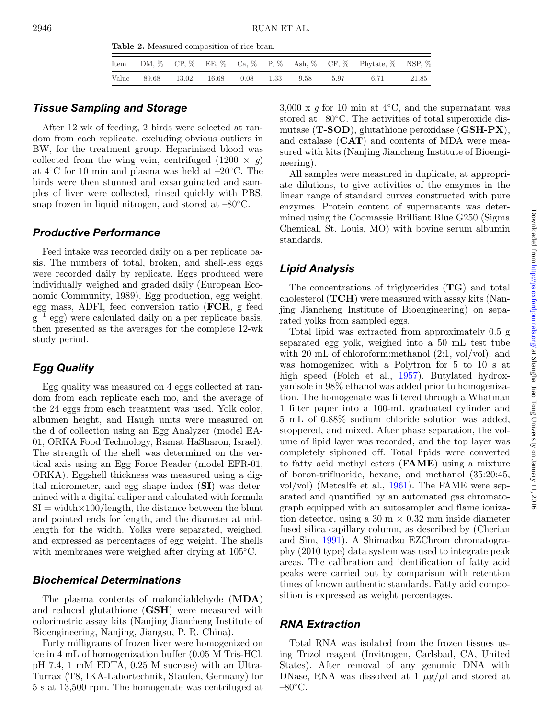|  |  |  |  | Item DM, $\%$ CP, $\%$ EE, $\%$ Ca, $\%$ P, $\%$ Ash, $\%$ CF, $\%$ Phytate, $\%$ NSP, $\%$ |       |
|--|--|--|--|---------------------------------------------------------------------------------------------|-------|
|  |  |  |  | Value 89.68 13.02 16.68 0.08 1.33 9.58 5.97 6.71                                            | 21.85 |

## <span id="page-2-0"></span>*Tissue Sampling and Storage*

After 12 wk of feeding, 2 birds were selected at random from each replicate, excluding obvious outliers in BW, for the treatment group. Heparinized blood was collected from the wing vein, centrifuged  $(1200 \times q)$ at 4◦C for 10 min and plasma was held at –20◦C. The birds were then stunned and exsanguinated and samples of liver were collected, rinsed quickly with PBS, snap frozen in liquid nitrogen, and stored at  $-80^{\circ}$ C.

#### *Productive Performance*

Feed intake was recorded daily on a per replicate basis. The numbers of total, broken, and shell-less eggs were recorded daily by replicate. Eggs produced were individually weighed and graded daily (European Economic Community, 1989). Egg production, egg weight, egg mass, ADFI, feed conversion ratio (**FCR**, g feed  $g^{-1}$  egg) were calculated daily on a per replicate basis, then presented as the averages for the complete 12-wk study period.

# *Egg Quality*

Egg quality was measured on 4 eggs collected at random from each replicate each mo, and the average of the 24 eggs from each treatment was used. Yolk color, albumen height, and Haugh units were measured on the d of collection using an Egg Analyzer (model EA-01, ORKA Food Technology, Ramat HaSharon, Israel). The strength of the shell was determined on the vertical axis using an Egg Force Reader (model EFR-01, ORKA). Eggshell thickness was measured using a digital micrometer, and egg shape index (**SI**) was determined with a digital caliper and calculated with formula  $SI = width \times 100/length$ , the distance between the blunt and pointed ends for length, and the diameter at midlength for the width. Yolks were separated, weighed, and expressed as percentages of egg weight. The shells with membranes were weighed after drying at 105◦C.

### *Biochemical Determinations*

The plasma contents of malondialdehyde (**MDA**) and reduced glutathione (**GSH**) were measured with colorimetric assay kits (Nanjing Jiancheng Institute of Bioengineering, Nanjing, Jiangsu, P. R. China).

Forty milligrams of frozen liver were homogenized on ice in 4 mL of homogenization buffer (0.05 M Tris-HCl, pH 7.4, 1 mM EDTA, 0.25 M sucrose) with an Ultra-Turrax (T8, IKA-Labortechnik, Staufen, Germany) for 5 s at 13,500 rpm. The homogenate was centrifuged at

3,000 x  $q$  for 10 min at 4 $°C$ , and the supernatant was stored at  $-80^{\circ}$ C. The activities of total superoxide dismutase (**T-SOD**), glutathione peroxidase (**GSH-PX**), and catalase (**CAT**) and contents of MDA were measured with kits (Nanjing Jiancheng Institute of Bioengineering).

All samples were measured in duplicate, at appropriate dilutions, to give activities of the enzymes in the linear range of standard curves constructed with pure enzymes. Protein content of supernatants was determined using the Coomassie Brilliant Blue G250 (Sigma Chemical, St. Louis, MO) with bovine serum albumin standards.

### *Lipid Analysis*

The concentrations of triglycerides (**TG**) and total cholesterol (**TCH**) were measured with assay kits (Nanjing Jiancheng Institute of Bioengineering) on separated yolks from sampled eggs.

Total lipid was extracted from approximately 0.5 g separated egg yolk, weighed into a 50 mL test tube with 20 mL of chloroform: methanol  $(2:1, vol/vol)$ , and was homogenized with a Polytron for 5 to 10 s at high speed (Folch et al., [1957\)](#page-7-8). Butylated hydroxyanisole in 98% ethanol was added prior to homogenization. The homogenate was filtered through a Whatman 1 filter paper into a 100-mL graduated cylinder and 5 mL of 0.88% sodium chloride solution was added, stoppered, and mixed. After phase separation, the volume of lipid layer was recorded, and the top layer was completely siphoned off. Total lipids were converted to fatty acid methyl esters (**FAME**) using a mixture of boron-trifluoride, hexane, and methanol (35:20:45, vol/vol) (Metcalfe et al., [1961\)](#page-7-9). The FAME were separated and quantified by an automated gas chromatograph equipped with an autosampler and flame ionization detector, using a  $30 \text{ m} \times 0.32 \text{ mm}$  inside diameter fused silica capillary column, as described by (Cherian and Sim, [1991\)](#page-6-3). A Shimadzu EZChrom chromatography (2010 type) data system was used to integrate peak areas. The calibration and identification of fatty acid peaks were carried out by comparison with retention times of known authentic standards. Fatty acid composition is expressed as weight percentages[.](#page-3-0)

#### *RNA Extraction*

Total RNA was isolated from the frozen tissues using Trizol reagent (Invitrogen, Carlsbad, CA, United States). After removal of any genomic DNA with DNase, RNA was dissolved at 1  $\mu$ g/ $\mu$ l and stored at  $-80^{\circ}$ C.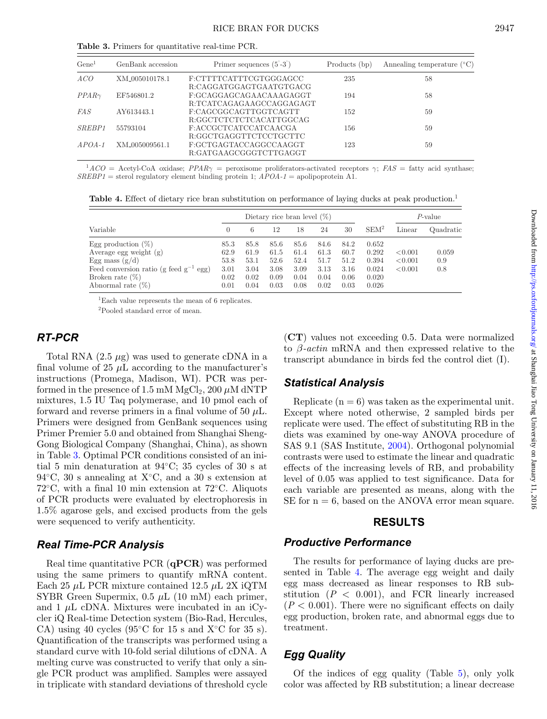<span id="page-3-0"></span>

| Gene <sup>1</sup>  | GenBank accession | Primer sequences $(5-3)$ | Products (bp) |                                       |
|--------------------|-------------------|--------------------------|---------------|---------------------------------------|
|                    |                   |                          |               | Annealing temperature $({}^{\circ}C)$ |
| ACO                | XM_005010178.1    | F:CTTTTCATTTCGTGGGAGCC   | 235           | 58                                    |
|                    |                   | R:CAGGATGGAGTGAATGTGACG  |               |                                       |
| $PPAR\gamma$       | EF546801.2        | F:GCAGGAGCAGAACAAAGAGGT  | 194           | 58                                    |
|                    |                   | R:TCATCAGAGAAGCCAGGAGAGT |               |                                       |
| <i>FAS</i>         | AY613443.1        | F:CAGCGGCAGTTGGTCAGTT    | 152           | 59                                    |
|                    |                   | R:GGCTCTCTCTCACATTGGCAG  |               |                                       |
| SREBP <sub>1</sub> | 55793104          | F:ACCGCTCATCCATCAACGA    | 156           | 59                                    |
|                    |                   | R:GGCTGAGGTTCTCCTGCTTC   |               |                                       |
| $APOA-1$           | XM 005009561.1    | F:GCTGAGTACCAGGCCAAGGT   | 123           | 59                                    |
|                    |                   | R:GATGAAGCGGGTCTTGAGGT   |               |                                       |
|                    |                   |                          |               |                                       |

**Table 3.** Primers for quantitative real-time PCR.

<span id="page-3-1"></span> $^{1}ACO =$  Acetyl-CoA oxidase; *PPAR* $\gamma$  = peroxisome proliferators-activated receptors  $\gamma$ ; *FAS* = fatty acid synthase; *SREBP1* = sterol regulatory element binding protein 1; *APOA-1* = apolipoprotein A1.

**Table 4.** Effect of dietary rice bran substitution on performance of laying ducks at peak production.<sup>1</sup>

|                                             | Dietary rice bran level $(\%)$ |      |      |      |      |      |         | $P$ -value |           |
|---------------------------------------------|--------------------------------|------|------|------|------|------|---------|------------|-----------|
| Variable                                    | $\left( \right)$               | 6    | 12   | 18   | 24   | 30   | $SEM^2$ | Linear     | Quadratic |
| Egg production $(\%)$                       | 85.3                           | 85.8 | 85.6 | 85.6 | 84.6 | 84.2 | 0.652   |            |           |
| Average egg weight $(g)$                    | 62.9                           | 61.9 | 61.5 | 61.4 | 61.3 | 60.7 | 0.292   | < 0.001    | 0.059     |
| Egg mass $(g/d)$                            | 53.8                           | 53.1 | 52.6 | 52.4 | 51.7 | 51.2 | 0.394   | < 0.001    | 0.9       |
| Feed conversion ratio (g feed $g^{-1}$ egg) | 3.01                           | 3.04 | 3.08 | 3.09 | 3.13 | 3.16 | 0.024   | < 0.001    | 0.8       |
| Broken rate $(\%)$                          | 0.02                           | 0.02 | 0.09 | 0.04 | 0.04 | 0.06 | 0.020   |            |           |
| Abnormal rate $(\%)$                        | 0.01                           | 0.04 | 0.03 | 0.08 | 0.02 | 0.03 | 0.026   |            |           |

1Each value represents the mean of 6 replicates.

2Pooled standard error of mean.

# *RT-PCR*

Total RNA  $(2.5 \mu g)$  was used to generate cDNA in a final volume of 25  $\mu$ L according to the manufacturer's instructions (Promega, Madison, WI). PCR was performed in the presence of 1.5 mM  $MgCl_2$ , 200  $\mu$ M dNTP mixtures, 1.5 IU Taq polymerase, and 10 pmol each of forward and reverse primers in a final volume of 50  $\mu$ L. Primers were designed from GenBank sequences using Primer Premier 5.0 and obtained from Shanghai Sheng-Gong Biological Company (Shanghai, China), as shown in Table [3.](#page-3-0) Optimal PCR conditions consisted of an initial 5 min denaturation at 94◦C; 35 cycles of 30 s at  $94\degree C$ , 30 s annealing at X $\degree C$ , and a 30 s extension at 72◦C, with a final 10 min extension at 72◦C. Aliquots of PCR products were evaluated by electrophoresis in 1.5% agarose gels, and excised products from the gels were sequenced to verify authenticity.

### *Real Time-PCR Analysis*

Real time quantitative PCR (**qPCR**) was performed using the same primers to quantify mRNA content. Each 25  $\mu$ L PCR mixture contained 12.5  $\mu$ L 2X iQTM SYBR Green Supermix,  $0.5 \mu L$  (10 mM) each primer, and 1  $\mu$ L cDNA. Mixtures were incubated in an iCycler iQ Real-time Detection system (Bio-Rad, Hercules, CA) using 40 cycles (95 $\degree$ C for 15 s and X $\degree$ C for 35 s). Quantification of the transcripts was performed using a standard curve with 10-fold serial dilutions of cDNA. A melting curve was constructed to verify that only a single PCR product was amplified. Samples were assayed in triplicate with standard deviations of threshold cycle

(**CT**) values not exceeding 0.5. Data were normalized to β*-actin* mRNA and then expressed relative to the transcript abundance in birds fed the control diet (I).

### *Statistical Analysis*

Replicate  $(n = 6)$  was taken as the experimental unit. Except where noted otherwise, 2 sampled birds per replicate were used. The effect of substituting RB in the diets was examined by one-way ANOVA procedure of SAS 9.1 (SAS Institute, [2004\)](#page-7-10). Orthogonal polynomial contrasts were used to estimate the linear and quadratic effects of the increasing levels of RB, and probability level of 0.05 was applied to test significance. Data for each variable are presented as means, along with the SE for  $n = 6$ , based on the ANOVA error mean square.

#### **RESULTS**

#### *Productive Performance*

The results for performance of laying ducks are presented in Table [4.](#page-3-1) The average egg weight and daily egg mass decreased as linear responses to RB substitution  $(P < 0.001)$ , and FCR linearly increased  $(P < 0.001)$ . There were no significant effects on daily egg production, broken rate, and abnormal eggs due to treatment.

# *Egg Quality*

Of the indices of egg quality (Table [5\)](#page-4-0), onl[y](#page-4-1) yolk color was affected by RB substitution; a linear decrease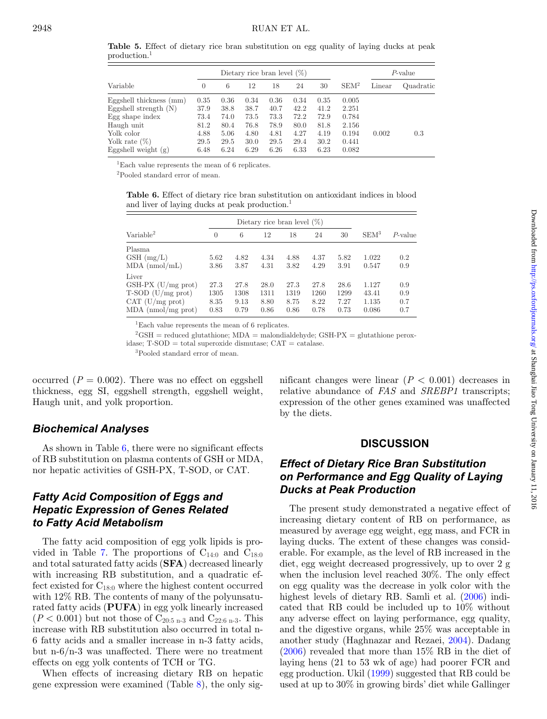|                         |          |      |      | Dietary rice bran level $(\%)$ |      | $P$ -value |                  |        |           |
|-------------------------|----------|------|------|--------------------------------|------|------------|------------------|--------|-----------|
| Variable                | $\theta$ | 6    | 12   | 18                             | 24   | 30         | SEM <sup>2</sup> | Linear | Quadratic |
| Eggshell thickness (mm) | 0.35     | 0.36 | 0.34 | 0.36                           | 0.34 | 0.35       | 0.005            |        |           |
| Eggshell strength $(N)$ | 37.9     | 38.8 | 38.7 | 40.7                           | 42.2 | 41.2       | 2.251            |        |           |
| Egg shape index         | 73.4     | 74.0 | 73.5 | 73.3                           | 72.2 | 72.9       | 0.784            |        |           |
| Haugh unit              | 81.2     | 80.4 | 76.8 | 78.9                           | 80.0 | 81.8       | 2.156            |        |           |
| Yolk color              | 4.88     | 5.06 | 4.80 | 4.81                           | 4.27 | 4.19       | 0.194            | 0.002  | 0.3       |
| Yolk rate $(\%)$        | 29.5     | 29.5 | 30.0 | 29.5                           | 29.4 | 30.2       | 0.441            |        |           |
| Eggshell weight $(g)$   | 6.48     | 6.24 | 6.29 | 6.26                           | 6.33 | 6.23       | 0.082            |        |           |

<span id="page-4-0"></span>**Table 5.** Effect of dietary rice bran substitution on egg quality of laying ducks at peak production.1

1Each value represents the mean of 6 replicates.

<span id="page-4-1"></span>2Pooled standard error of mean.

**Table 6.** Effect of dietary rice bran substitution on antioxidant indices in blood and liver of laying ducks at peak production.<sup>1</sup>

| Dietary rice bran level $(\%)$ |          |      |      |      |      |      |                  |            |
|--------------------------------|----------|------|------|------|------|------|------------------|------------|
| Variable <sup>2</sup>          | $\Omega$ | 6    | 12   | 18   | 24   | 30   | SEM <sup>3</sup> | $P$ -value |
| Plasma                         |          |      |      |      |      |      |                  |            |
| $GSH$ (mg/L)                   | 5.62     | 4.82 | 4.34 | 4.88 | 4.37 | 5.82 | 1.022            | 0.2        |
| $MDA$ (nmol/mL)                | 3.86     | 3.87 | 4.31 | 3.82 | 4.29 | 3.91 | 0.547            | 0.9        |
| Liver                          |          |      |      |      |      |      |                  |            |
| $GSH-PX$ (U/mg prot)           | 27.3     | 27.8 | 28.0 | 27.3 | 27.8 | 28.6 | 1.127            | 0.9        |
| $T-SOD (U/mg prot)$            | 1305     | 1308 | 1311 | 1319 | 1260 | 1299 | 43.41            | 0.9        |
| CAT (U/mg prot)                | 8.35     | 9.13 | 8.80 | 8.75 | 8.22 | 7.27 | 1.135            | 0.7        |
| $MDA$ (nmol/mg prot)           | 0.83     | 0.79 | 0.86 | 0.86 | 0.78 | 0.73 | 0.086            | 0.7        |

1Each value represents the mean of 6 replicates.

 $^{2}$ GSH = reduced glutathione; MDA = malondialdehyde; GSH-PX = glutathione peroxidase; T-SOD = total superoxide dismutase; CAT = catalase.

3Pooled standard error of mean.

occurred  $(P = 0.002)$ . There was no effect on eggshell thickness, egg SI, eggshell strength, eggshell weight, Haugh unit, and yolk proportion.

#### *Biochemical Analyses*

As shown in Table [6,](#page-4-1) there were no significant effects of RB substitution on plasma contents of GSH or MDA, nor hepatic activities of GSH-PX, T-SOD, or CAT.

# *Fatty Acid Composition of Eggs and Hepatic Expression of Genes Related to Fatty Acid Metabolism*

The fatty acid composition of egg yolk lipids is pro-vided in Table [7.](#page-5-0) The proportions of  $C_{14:0}$  and  $C_{18:0}$ and total saturated fatty acids (**SFA**) decreased linearly with increasing RB substitution, and a quadratic effect existed for  $C_{18:0}$  where the highest content occurred with 12% RB. The contents of many of the polyunsaturated fatty acids (**PUFA**) in egg yolk linearly increased  $(P < 0.001)$  but not those of  $C_{20:5 n-3}$  and  $C_{22:6 n-3}$ . This increase with RB substitution also occurred in total n-6 fatty acids and a smaller increase in n-3 fatty acids, but n-6/n-3 was unaffected. There were no treatment effects on egg yolk contents of TCH or TG.

When effects of increasing dietary RB on hepatic gene expression were examined (Table [8\)](#page-5-1), the only significant changes were linear  $(P < 0.001)$  decreases in relative abundance of *FAS* and *SREBP1* transcripts; expression of the other genes examined was unaffected by the diets.

#### **DISCUSSION**

# *Effect of Dietary Rice Bran Substitution on Performance and Egg Quality of Laying Ducks at Peak Production*

The present study demonstrated a negative effect of increasing dietary content of RB on performance, as measured by average egg weight, egg mass, and FCR in laying ducks. The extent of these changes was considerable. For example, as the level of RB increased in the diet, egg weight decreased progressively, up to over 2 g when the inclusion level reached 30%. The only effect on egg quality was the decrease in yolk color with the highest levels of dietary RB. Samli et al. [\(2006\)](#page-7-6) indicated that RB could be included up to 10% without any adverse effect on laying performance, egg quality, and the digestive organs, while 25% was acceptable in another study (Haghnazar and Rezaei, [2004\)](#page-7-11). Dadang [\(2006\)](#page-6-4) revealed that more than 15% RB in the diet of laying hens (21 to 53 wk of age) had poorer FCR and egg production. Ukil [\(1999\)](#page-7-12) suggested that RB could be used at up to 30% in growing birds' diet while Gallinger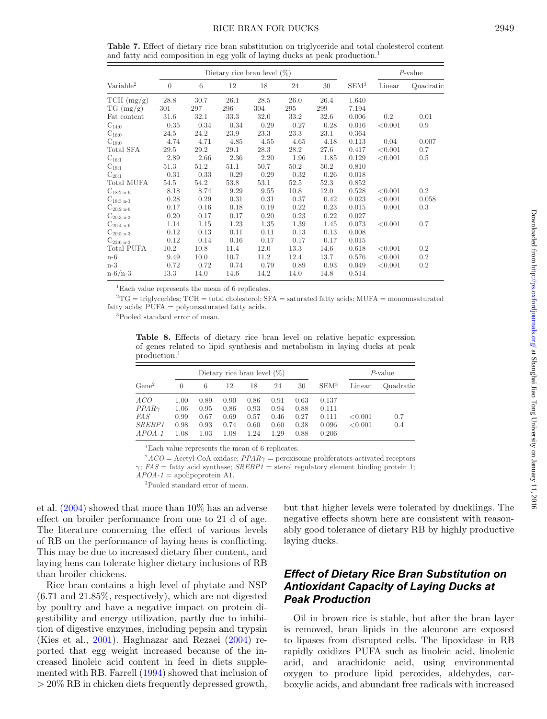<span id="page-5-0"></span>**Table 7.** Effect of dietary rice bran substitution on triglyceride and total cholesterol content and fatty acid composition in egg yolk of laying ducks at peak production.<sup>1</sup>

|                                 |          |                 | Dietary rice bran level $(\%)$ |      |      |      |                  |         | $P$ -value |
|---------------------------------|----------|-----------------|--------------------------------|------|------|------|------------------|---------|------------|
| Variable <sup>2</sup>           | $\theta$ | $6\phantom{.}6$ | 12                             | 18   | 24   | 30   | SEM <sup>3</sup> | Linear  | Quadratic  |
| TCH (mg/g)                      | 28.8     | 30.7            | 26.1                           | 28.5 | 26.0 | 26.4 | 1.640            |         |            |
| $TG \, (mg/g)$                  | 301      | 297             | 296                            | 304  | 295  | 299  | 7.194            |         |            |
| Fat content                     | 31.6     | 32.1            | 33.3                           | 32.0 | 33.2 | 32.6 | 0.006            | 0.2     | 0.01       |
| $C_{14:0}$                      | 0.35     | 0.34            | 0.34                           | 0.29 | 0.27 | 0.28 | 0.016            | < 0.001 | 0.9        |
| $\mathrm{C}_{16:0}$             | 24.5     | 24.2            | 23.9                           | 23.3 | 23.3 | 23.1 | 0.364            |         |            |
| $\mathrm{C}_{18:0}$             | 4.74     | 4.71            | 4.85                           | 4.55 | 4.65 | 4.18 | 0.113            | 0.04    | 0.007      |
| Total SFA                       | 29.5     | 29.2            | 29.1                           | 28.3 | 28.2 | 27.6 | 0.417            | < 0.001 | 0.7        |
| $\mathrm{C}_{16:1}$             | 2.89     | 2.66            | 2.36                           | 2.20 | 1.96 | 1.85 | 0.129            | < 0.001 | 0.5        |
| $C_{18:1}$                      | 51.3     | 51.2            | 51.1                           | 50.7 | 50.2 | 50.2 | 0.810            |         |            |
| $C_{20:1}$                      | 0.31     | 0.33            | 0.29                           | 0.29 | 0.32 | 0.26 | 0.018            |         |            |
| Total MUFA                      | 54.5     | 54.2            | 53.8                           | 53.1 | 52.5 | 52.3 | 0.852            |         |            |
| $\mathrm{C}_{18:2\text{ n-}6}$  | 8.18     | 8.74            | 9.29                           | 9.55 | 10.8 | 12.0 | 0.528            | < 0.001 | $0.2\,$    |
| $C_{18:3 n-3}$                  | 0.28     | 0.29            | 0.31                           | 0.31 | 0.37 | 0.42 | 0.023            | < 0.001 | 0.058      |
| $C_{20:2 n-6}$                  | 0.17     | 0.16            | 0.18                           | 0.19 | 0.22 | 0.23 | 0.015            | 0.001   | 0.3        |
| $\mathrm{C}_{20:3 \text{ n-}3}$ | 0.20     | 0.17            | 0.17                           | 0.20 | 0.23 | 0.22 | 0.027            |         |            |
| $C_{20:4n-6}$                   | 1.14     | 1.15            | 1.23                           | 1.35 | 1.39 | 1.45 | 0.073            | < 0.001 | 0.7        |
| $\mathrm{C}_{20:5\text{ n-}3}$  | 0.12     | 0.13            | 0.11                           | 0.11 | 0.13 | 0.13 | 0.008            |         |            |
| $C_{22:6n-3}$                   | 0.12     | 0.14            | 0.16                           | 0.17 | 0.17 | 0.17 | 0.015            |         |            |
| <b>Total PUFA</b>               | 10.2     | 10.8            | 11.4                           | 12.0 | 13.3 | 14.6 | 0.618            | < 0.001 | 0.2        |
| $n-6$                           | 9.49     | 10.0            | 10.7                           | 11.2 | 12.4 | 13.7 | 0.576            | < 0.001 | $0.2\,$    |
| $n-3$                           | 0.72     | 0.72            | 0.74                           | 0.79 | 0.89 | 0.93 | 0.049            | < 0.001 | 0.2        |
| $n - 6/n - 3$                   | 13.3     | 14.0            | 14.6                           | 14.2 | 14.0 | 14.8 | 0.514            |         |            |

1Each value represents the mean of 6 replicates.

 ${}^{2}TG =$  triglycerides; TCH = total cholesterol; SFA = saturated fatty acids; MUFA = monounsaturated fatty acids; PUFA = polyunsaturated fatty acids.

<span id="page-5-1"></span>3Pooled standard error of mean.

**Table 8.** Effects of dietary rice bran level on relative hepatic expression of genes related to lipid synthesis and metabolism in laying ducks at peak production.1

|                   |      | $P$ -value |      |      |      |      |                  |         |           |
|-------------------|------|------------|------|------|------|------|------------------|---------|-----------|
| Gene <sup>2</sup> | 0    | 6          | 12   | 18   | 24   | 30   | SEM <sup>3</sup> | Linear  | Quadratic |
| ACO               | 1.00 | 0.89       | 0.90 | 0.86 | 0.91 | 0.63 | 0.137            |         |           |
| $PPAR\gamma$      | 1.06 | 0.95       | 0.86 | 0.93 | 0.94 | 0.88 | 0.111            |         |           |
| <i>FAS</i>        | 0.99 | 0.67       | 0.69 | 0.57 | 0.46 | 0.27 | 0.111            | < 0.001 | 0.7       |
| <i>SREBP1</i>     | 0.98 | 0.93       | 0.74 | 0.60 | 0.60 | 0.38 | 0.096            | < 0.001 | 0.4       |
| $APOA-1$          | 1.08 | 1.03       | 1.08 | 1.24 | 1.29 | 0.88 | 0.206            |         |           |

1Each value represents the mean of 6 replicates.

 $2ACO =$  Acetyl-CoA oxidase;  $PPAR\gamma$  = peroxisome proliferators-activated receptors  $\gamma$ ; *FAS* = fatty acid synthase; *SREBP1* = sterol regulatory element binding protein 1;

 $\widehat{APOA-1}$  = apolipoprotein A1.

3Pooled standard error of mean.

et al. [\(2004\)](#page-7-13) showed that more than 10% has an adverse effect on broiler performance from one to 21 d of age. The literature concerning the effect of various levels of RB on the performance of laying hens is conflicting. This may be due to increased dietary fiber content, and laying hens can tolerate higher dietary inclusions of RB than broiler chickens.

Rice bran contains a high level of phytate and NSP (6.71 and 21.85%, respectively), which are not digested by poultry and have a negative impact on protein digestibility and energy utilization, partly due to inhibition of digestive enzymes, including pepsin and trypsin (Kies et al., [2001\)](#page-7-14). Haghnazar and Rezaei [\(2004\)](#page-7-11) reported that egg weight increased because of the increased linoleic acid content in feed in diets supplemented with RB. Farrell [\(1994\)](#page-6-5) showed that inclusion of > 20% RB in chicken diets frequently depressed growth,

but that higher levels were tolerated by ducklings. The negative effects shown here are consistent with reasonably good tolerance of dietary RB by highly productive laying ducks.

# *Effect of Dietary Rice Bran Substitution on Antioxidant Capacity of Laying Ducks at Peak Production*

Oil in brown rice is stable, but after the bran layer is removed, bran lipids in the aleurone are exposed to lipases from disrupted cells. The lipoxidase in RB rapidly oxidizes PUFA such as linoleic acid, linolenic acid, and arachidonic acid, using environmental oxygen to produce lipid peroxides, aldehydes, carboxylic acids, and abundant free radicals with increased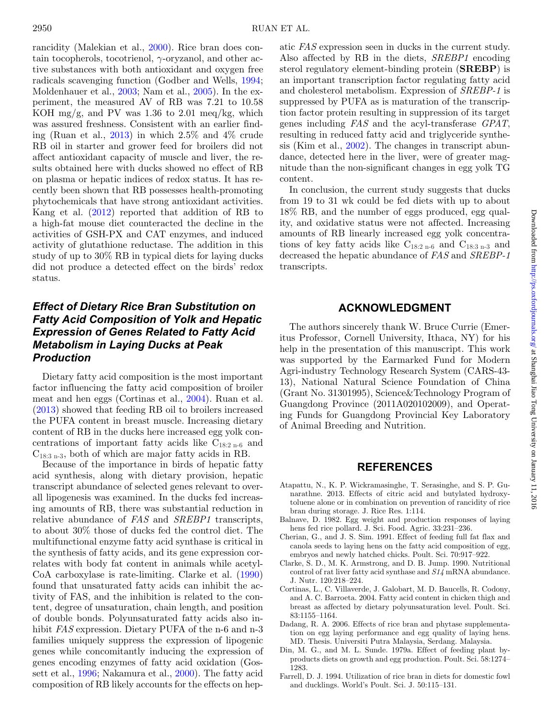rancidity (Malekian et al., [2000\)](#page-7-1). Rice bran does contain tocopherols, to cotrienol,  $\gamma$ -oryzanol, and other active substances with both antioxidant and oxygen free radicals scavenging function (Godber and Wells, [1994;](#page-7-15) Moldenhauer et al., [2003;](#page-7-16) Nam et al., [2005\)](#page-7-17). In the experiment, the measured AV of RB was 7.21 to 10.58 KOH mg/g, and PV was  $1.36$  to  $2.01$  meq/kg, which was assured freshness. Consistent with an earlier finding (Ruan et al., [2013\)](#page-7-18) in which 2.5% and 4% crude RB oil in starter and grower feed for broilers did not affect antioxidant capacity of muscle and liver, the results obtained here with ducks showed no effect of RB on plasma or hepatic indices of redox status. It has recently been shown that RB possesses health-promoting phytochemicals that have strong antioxidant activities. Kang et al. [\(2012\)](#page-7-19) reported that addition of RB to a high-fat mouse diet counteracted the decline in the activities of GSH-PX and CAT enzymes, and induced activity of glutathione reductase. The addition in this study of up to 30% RB in typical diets for laying ducks did not produce a detected effect on the birds' redox status.

# *Effect of Dietary Rice Bran Substitution on Fatty Acid Composition of Yolk and Hepatic Expression of Genes Related to Fatty Acid Metabolism in Laying Ducks at Peak Production*

Dietary fatty acid composition is the most important factor influencing the fatty acid composition of broiler meat and hen eggs (Cortinas et al., [2004\)](#page-6-6). Ruan et al. [\(2013\)](#page-7-18) showed that feeding RB oil to broilers increased the PUFA content in breast muscle. Increasing dietary content of RB in the ducks here increased egg yolk concentrations of important fatty acids like  $C_{18:2 n-6}$  and  $C_{18:3 n-3}$ , both of which are major fatty acids in RB.

Because of the importance in birds of hepatic fatty acid synthesis, along with dietary provision, hepatic transcript abundance of selected genes relevant to overall lipogenesis was examined. In the ducks fed increasing amounts of RB, there was substantial reduction in relative abundance of *FAS* and *SREBP1* transcripts, to about 30% those of ducks fed the control diet. The multifunctional enzyme fatty acid synthase is critical in the synthesis of fatty acids, and its gene expression correlates with body fat content in animals while acetyl-CoA carboxylase is rate-limiting. Clarke et al. [\(1990\)](#page-6-7) found that unsaturated fatty acids can inhibit the activity of FAS, and the inhibition is related to the content, degree of unsaturation, chain length, and position of double bonds. Polyunsaturated fatty acids also inhibit *FAS* expression. Dietary PUFA of the n-6 and n-3 families uniquely suppress the expression of lipogenic genes while concomitantly inducing the expression of genes encoding enzymes of fatty acid oxidation (Gossett et al., [1996;](#page-7-20) Nakamura et al., [2000\)](#page-7-21). The fatty acid composition of RB likely accounts for the effects on hepatic *FAS* expression seen in ducks in the current study. Also affected by RB in the diets, *SREBP1* encoding sterol regulatory element-binding protein (**SREBP**) is an important transcription factor regulating fatty acid and cholesterol metabolism. Expression of *SREBP-1* is suppressed by PUFA as is maturation of the transcription factor protein resulting in suppression of its target genes including *FAS* and the acyl-transferase *GPAT*, resulting in reduced fatty acid and triglyceride synthesis (Kim et al., [2002\)](#page-7-22). The changes in transcript abundance, detected here in the liver, were of greater magnitude than the non-significant changes in egg yolk TG content.

In conclusion, the current study suggests that ducks from 19 to 31 wk could be fed diets with up to about 18% RB, and the number of eggs produced, egg quality, and oxidative status were not affected. Increasing amounts of RB linearly increased egg yolk concentrations of key fatty acids like  $C_{18:2 n-6}$  and  $C_{18:3 n-3}$  and decreased the hepatic abundance of *FAS* and *SREBP-1* transcripts.

#### **ACKNOWLEDGMENT**

The authors sincerely thank W. Bruce Currie (Emeritus Professor, Cornell University, Ithaca, NY) for his help in the presentation of this manuscript. This work was supported by the Earmarked Fund for Modern Agri-industry Technology Research System (CARS-43- 13), National Natural Science Foundation of China (Grant No. 31301995), Science&Technology Program of Guangdong Province (2011A020102009), and Operating Funds for Guangdong Provincial Key Laboratory of Animal Breeding and Nutrition.

#### **REFERENCES**

- <span id="page-6-0"></span>Atapattu, N., K. P. Wickramasinghe, T. Serasinghe, and S. P. Gunarathne. 2013. Effects of citric acid and butylated hydroxytoluene alone or in combination on prevention of rancidity of rice bran during storage. J. Rice Res. 1:114.
- <span id="page-6-2"></span>Balnave, D. 1982. Egg weight and production responses of laying hens fed rice pollard. J. Sci. Food. Agric. 33:231–236.
- <span id="page-6-3"></span>Cherian, G., and J. S. Sim. 1991. Effect of feeding full fat flax and canola seeds to laying hens on the fatty acid composition of egg, embryos and newly hatched chicks. Poult. Sci. 70:917–922.
- <span id="page-6-7"></span>Clarke, S. D., M. K. Armstrong, and D. B. Jump. 1990. Nutritional control of rat liver fatty acid synthase and *S14* mRNA abundance. J. Nutr. 120:218–224.
- <span id="page-6-6"></span>Cortinas, L., C. Villaverde, J. Galobart, M. D. Baucells, R. Codony, and A. C. Barroeta. 2004. Fatty acid content in chicken thigh and breast as affected by dietary polyunsaturation level. Poult. Sci. 83:1155–1164.
- <span id="page-6-4"></span>Dadang, R. A. 2006. Effects of rice bran and phytase supplementation on egg laying performance and egg quality of laying hens. MD. Thesis. Universiti Putra Malaysia, Serdang. Malaysia.
- <span id="page-6-1"></span>Din, M. G., and M. L. Sunde. 1979a. Effect of feeding plant byproducts diets on growth and egg production. Poult. Sci. 58:1274– 1283.
- <span id="page-6-5"></span>Farrell, D. J. 1994. Utilization of rice bran in diets for domestic fowl and ducklings. World's Poult. Sci. J. 50:115–131.